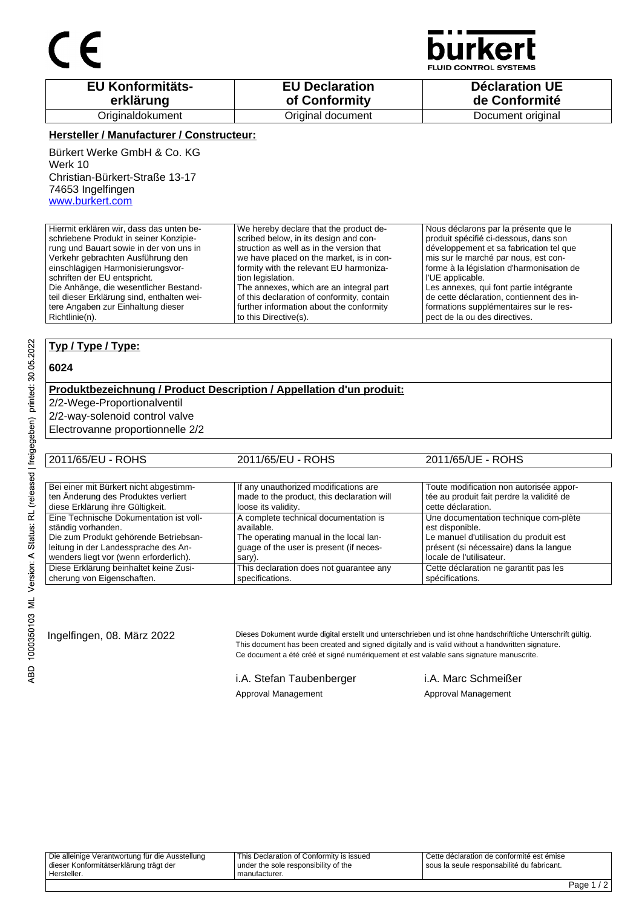

CONTROL SYSTEMS

| <b>EU Konformitäts-</b> | <b>EU Declaration</b> | <b>Déclaration UE</b> |
|-------------------------|-----------------------|-----------------------|
| erklärung               | of Conformity         | de Conformité         |
| Originaldokument        | Original document     | Document original     |

#### **Hersteller / Manufacturer / Constructeur:**

Bürkert Werke GmbH & Co. KG Werk 10 Christian-Bürkert-Straße 13-17 74653 Ingelfingen www.burkert.com

Hiermit erklären wir, dass das unten beschriebene Produkt in seiner Konzipierung und Bauart sowie in der von uns in Verkehr gebrachten Ausführung den einschlägigen Harmonisierungsvorschriften der EU entspricht. Die Anhänge, die wesentlicher Bestandteil dieser Erklärung sind, enthalten weitere Angaben zur Einhaltung dieser Richtlinie(n). We hereby declare that the product described below, in its design and construction as well as in the version that we have placed on the market, is in conformity with the relevant EU harmonization legislation. The annexes, which are an integral part of this declaration of conformity, contain further information about the conformity to this Directive(s). Nous déclarons par la présente que le produit spécifié ci-dessous, dans son développement et sa fabrication tel que mis sur le marché par nous, est conforme à la législation d'harmonisation de l'UE applicable. Les annexes, qui font partie intégrante de cette déclaration, contiennent des informations supplémentaires sur le respect de la ou des directives.

#### **Typ / Type / Type:**

#### **6024**

### **Produktbezeichnung / Product Description / Appellation d'un produit:**

2/2-Wege-Proportionalventil

2/2-way-solenoid control valve

Electrovanne proportionnelle 2/2

| 2011/65/EU - ROHS                       | 2011/65/EU - ROHS                          | 2011/65/UE - ROHS                         |
|-----------------------------------------|--------------------------------------------|-------------------------------------------|
|                                         |                                            |                                           |
| Bei einer mit Bürkert nicht abgestimm-  | If any unauthorized modifications are      | Toute modification non autorisée appor-   |
| ten Änderung des Produktes verliert     | made to the product, this declaration will | tée au produit fait perdre la validité de |
| diese Erklärung ihre Gültigkeit.        | loose its validity.                        | cette déclaration.                        |
| Eine Technische Dokumentation ist voll- | A complete technical documentation is      | Une documentation technique com-plète     |
| ständig vorhanden.                      | available.                                 | est disponible.                           |
| Die zum Produkt gehörende Betriebsan-   | The operating manual in the local lan-     | Le manuel d'utilisation du produit est    |
| leitung in der Landessprache des An-    | quage of the user is present (if neces-    | présent (si nécessaire) dans la langue    |
| wenders liegt vor (wenn erforderlich).  | sary).                                     | locale de l'utilisateur.                  |
| Diese Erklärung beinhaltet keine Zusi-  | This declaration does not guarantee any    | Cette déclaration ne garantit pas les     |
| cherung von Eigenschaften.              | specifications.                            | spécifications.                           |

Ingelfingen, 08. März 2022 Dieses Dokument wurde digital erstellt und unterschrieben und ist ohne handschriftliche Unterschrift gültig. This document has been created and signed digitally and is valid without a handwritten signature. Ce document a été créé et signé numériquement et est valable sans signature manuscrite.

> i.A. Stefan Taubenberger i.A. Marc Schmeißer Approval Management Approval Management